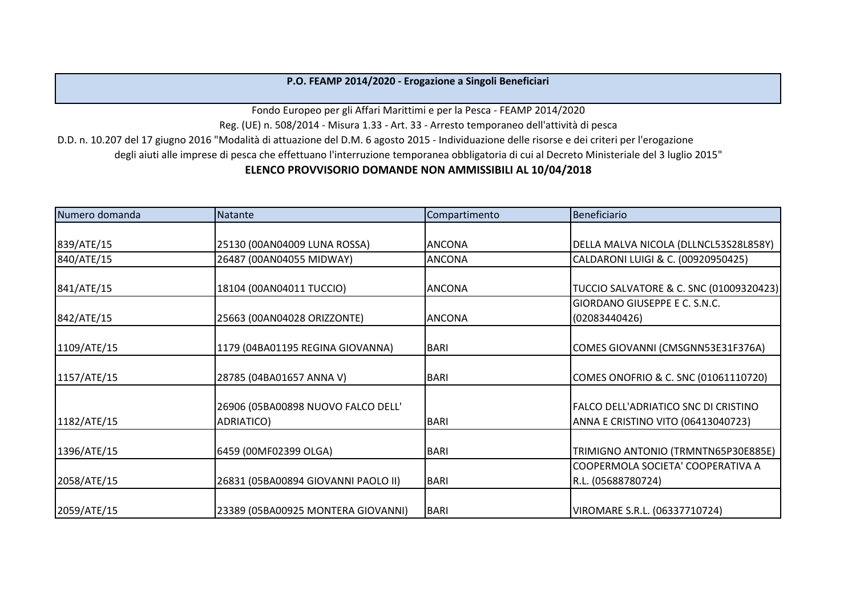## **P.O. FEAMP 2014/2020 - Erogazione a Singoli Beneficiari**

Fondo Europeo per gli Affari Marittimi e per la Pesca - FEAMP 2014/2020

Reg. (UE) n. 508/2014 - Misura 1.33 - Art. 33 - Arresto temporaneo dell'attività di pesca

D.D. n. 10.207 del 17 giugno 2016 "Modalità di attuazione del D.M. 6 agosto 2015 - Individuazione delle risorse e dei criteri per l'erogazione

degli aiuti alle imprese di pesca che effettuano l'interruzione temporanea obbligatoria di cui al Decreto Ministeriale del 3 luglio 2015"

## **ELENCO PROVVISORIO DOMANDE NON AMMISSIBILI AL 10/04/2018**

| Numero domanda | Natante                             | Compartimento | Beneficiario                                |
|----------------|-------------------------------------|---------------|---------------------------------------------|
|                |                                     |               |                                             |
| 839/ATE/15     | 25130 (00AN04009 LUNA ROSSA)        | <b>ANCONA</b> | DELLA MALVA NICOLA (DLLNCL53S28L858Y)       |
| 840/ATE/15     | 26487 (00AN04055 MIDWAY)            | <b>ANCONA</b> | CALDARONI LUIGI & C. (00920950425)          |
|                |                                     |               |                                             |
| 841/ATE/15     | 18104 (00AN04011 TUCCIO)            | <b>ANCONA</b> | TUCCIO SALVATORE & C. SNC (01009320423)     |
|                |                                     |               | GIORDANO GIUSEPPE E C. S.N.C.               |
| 842/ATE/15     | 25663 (00AN04028 ORIZZONTE)         | <b>ANCONA</b> | (02083440426)                               |
|                |                                     |               |                                             |
| 1109/ATE/15    | 1179 (04BA01195 REGINA GIOVANNA)    | <b>BARI</b>   | COMES GIOVANNI (CMSGNN53E31F376A)           |
|                |                                     |               |                                             |
| 1157/ATE/15    | 28785 (04BA01657 ANNA V)            | <b>BARI</b>   | COMES ONOFRIO & C. SNC (01061110720)        |
|                |                                     |               |                                             |
|                | 26906 (05BA00898 NUOVO FALCO DELL'  |               | <b>FALCO DELL'ADRIATICO SNC DI CRISTINO</b> |
| 1182/ATE/15    | ADRIATICO)                          | <b>BARI</b>   | ANNA E CRISTINO VITO (06413040723)          |
|                |                                     |               |                                             |
| 1396/ATE/15    | 6459 (00MF02399 OLGA)               | <b>BARI</b>   | TRIMIGNO ANTONIO (TRMNTN65P30E885E)         |
|                |                                     |               | COOPERMOLA SOCIETA' COOPERATIVA A           |
| 2058/ATE/15    | 26831 (05BA00894 GIOVANNI PAOLO II) | <b>BARI</b>   | R.L. (05688780724)                          |
|                |                                     |               |                                             |
| 2059/ATE/15    | 23389 (05BA00925 MONTERA GIOVANNI)  | <b>BARI</b>   | VIROMARE S.R.L. (06337710724)               |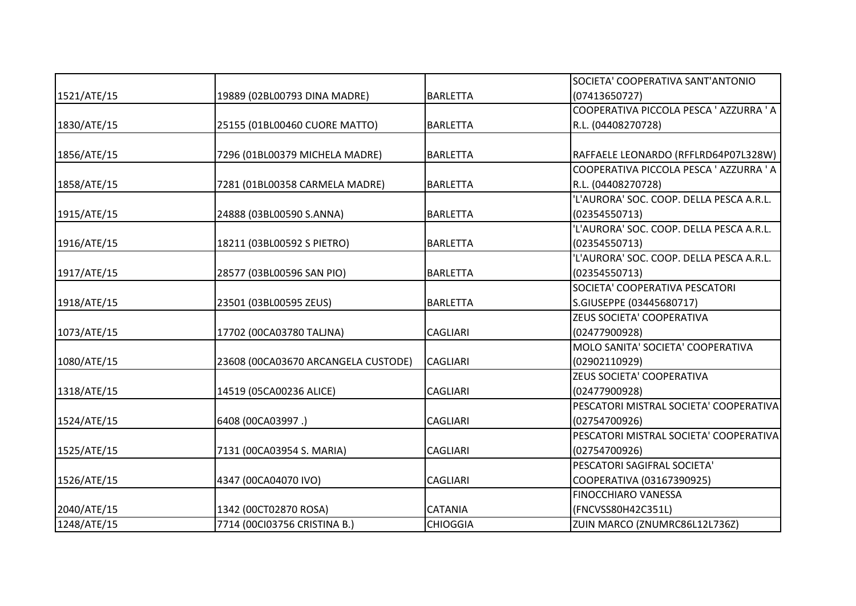|             |                                     |                 | SOCIETA' COOPERATIVA SANT'ANTONIO                                               |
|-------------|-------------------------------------|-----------------|---------------------------------------------------------------------------------|
| 1521/ATE/15 | 19889 (02BL00793 DINA MADRE)        | <b>BARLETTA</b> | (07413650727)                                                                   |
|             |                                     |                 | COOPERATIVA PICCOLA PESCA ' AZZURRA ' A                                         |
| 1830/ATE/15 | 25155 (01BL00460 CUORE MATTO)       | <b>BARLETTA</b> | R.L. (04408270728)                                                              |
|             |                                     |                 |                                                                                 |
| 1856/ATE/15 | 7296 (01BL00379 MICHELA MADRE)      | <b>BARLETTA</b> | RAFFAELE LEONARDO (RFFLRD64P07L328W)<br>COOPERATIVA PICCOLA PESCA ' AZZURRA ' A |
| 1858/ATE/15 | 7281 (01BL00358 CARMELA MADRE)      | <b>BARLETTA</b> | R.L. (04408270728)                                                              |
|             |                                     |                 | 'L'AURORA' SOC. COOP. DELLA PESCA A.R.L.                                        |
| 1915/ATE/15 | 24888 (03BL00590 S.ANNA)            | <b>BARLETTA</b> | (02354550713)                                                                   |
|             |                                     |                 | 'L'AURORA' SOC. COOP. DELLA PESCA A.R.L.                                        |
| 1916/ATE/15 | 18211 (03BL00592 S PIETRO)          | <b>BARLETTA</b> | (02354550713)                                                                   |
|             |                                     |                 | 'L'AURORA' SOC. COOP. DELLA PESCA A.R.L.                                        |
| 1917/ATE/15 | 28577 (03BL00596 SAN PIO)           | <b>BARLETTA</b> | (02354550713)                                                                   |
|             |                                     |                 | SOCIETA' COOPERATIVA PESCATORI                                                  |
| 1918/ATE/15 | 23501 (03BL00595 ZEUS)              | <b>BARLETTA</b> | S.GIUSEPPE (03445680717)                                                        |
|             |                                     |                 | ZEUS SOCIETA' COOPERATIVA                                                       |
| 1073/ATE/15 | 17702 (00CA03780 TALINA)            | <b>CAGLIARI</b> | (02477900928)                                                                   |
|             |                                     |                 | MOLO SANITA' SOCIETA' COOPERATIVA                                               |
| 1080/ATE/15 | 23608 (00CA03670 ARCANGELA CUSTODE) | <b>CAGLIARI</b> | (02902110929)                                                                   |
|             |                                     |                 | ZEUS SOCIETA' COOPERATIVA                                                       |
| 1318/ATE/15 | 14519 (05CA00236 ALICE)             | <b>CAGLIARI</b> | (02477900928)                                                                   |
|             |                                     |                 | PESCATORI MISTRAL SOCIETA' COOPERATIVA                                          |
| 1524/ATE/15 | 6408 (00CA03997.)                   | <b>CAGLIARI</b> | (02754700926)                                                                   |
|             |                                     |                 | PESCATORI MISTRAL SOCIETA' COOPERATIVA                                          |
| 1525/ATE/15 | 7131 (00CA03954 S. MARIA)           | <b>CAGLIARI</b> | (02754700926)                                                                   |
|             |                                     |                 | PESCATORI SAGIFRAL SOCIETA'                                                     |
| 1526/ATE/15 | 4347 (00CA04070 IVO)                | <b>CAGLIARI</b> | COOPERATIVA (03167390925)                                                       |
|             |                                     |                 | <b>FINOCCHIARO VANESSA</b>                                                      |
| 2040/ATE/15 | 1342 (00CT02870 ROSA)               | <b>CATANIA</b>  | (FNCVSS80H42C351L)                                                              |
| 1248/ATE/15 | 7714 (00Cl03756 CRISTINA B.)        | <b>CHIOGGIA</b> | ZUIN MARCO (ZNUMRC86L12L736Z)                                                   |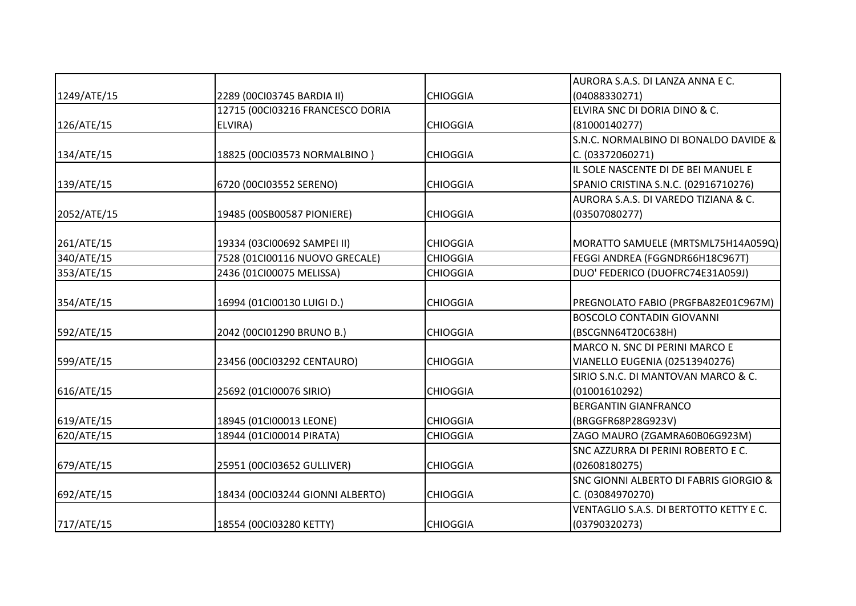|             |                                  |                 | AURORA S.A.S. DI LANZA ANNA E C.        |
|-------------|----------------------------------|-----------------|-----------------------------------------|
| 1249/ATE/15 | 2289 (00Cl03745 BARDIA II)       | <b>CHIOGGIA</b> | (04088330271)                           |
|             | 12715 (00Cl03216 FRANCESCO DORIA |                 | ELVIRA SNC DI DORIA DINO & C.           |
| 126/ATE/15  | ELVIRA)                          | <b>CHIOGGIA</b> | (81000140277)                           |
|             |                                  |                 | S.N.C. NORMALBINO DI BONALDO DAVIDE &   |
| 134/ATE/15  | 18825 (00Cl03573 NORMALBINO)     | <b>CHIOGGIA</b> | C. (03372060271)                        |
|             |                                  |                 | IL SOLE NASCENTE DI DE BEI MANUEL E     |
| 139/ATE/15  | 6720 (00Cl03552 SERENO)          | <b>CHIOGGIA</b> | SPANIO CRISTINA S.N.C. (02916710276)    |
|             |                                  |                 | AURORA S.A.S. DI VAREDO TIZIANA & C.    |
| 2052/ATE/15 | 19485 (00SB00587 PIONIERE)       | <b>CHIOGGIA</b> | (03507080277)                           |
|             |                                  |                 |                                         |
| 261/ATE/15  | 19334 (03CI00692 SAMPEI II)      | <b>CHIOGGIA</b> | MORATTO SAMUELE (MRTSML75H14A059Q)      |
| 340/ATE/15  | 7528 (01CI00116 NUOVO GRECALE)   | <b>CHIOGGIA</b> | FEGGI ANDREA (FGGNDR66H18C967T)         |
| 353/ATE/15  | 2436 (01CI00075 MELISSA)         | <b>CHIOGGIA</b> | DUO' FEDERICO (DUOFRC74E31A059J)        |
|             |                                  |                 |                                         |
| 354/ATE/15  | 16994 (01CI00130 LUIGI D.)       | <b>CHIOGGIA</b> | PREGNOLATO FABIO (PRGFBA82E01C967M)     |
|             |                                  |                 | <b>BOSCOLO CONTADIN GIOVANNI</b>        |
| 592/ATE/15  | 2042 (00Cl01290 BRUNO B.)        | <b>CHIOGGIA</b> | (BSCGNN64T20C638H)                      |
|             |                                  |                 | MARCO N. SNC DI PERINI MARCO E          |
| 599/ATE/15  | 23456 (00Cl03292 CENTAURO)       | <b>CHIOGGIA</b> | <b>VIANELLO EUGENIA (02513940276)</b>   |
|             |                                  |                 | SIRIO S.N.C. DI MANTOVAN MARCO & C.     |
| 616/ATE/15  | 25692 (01Cl00076 SIRIO)          | <b>CHIOGGIA</b> | (01001610292)                           |
|             |                                  |                 | <b>BERGANTIN GIANFRANCO</b>             |
| 619/ATE/15  | 18945 (01CI00013 LEONE)          | <b>CHIOGGIA</b> | (BRGGFR68P28G923V)                      |
| 620/ATE/15  | 18944 (01CI00014 PIRATA)         | <b>CHIOGGIA</b> | ZAGO MAURO (ZGAMRA60B06G923M)           |
|             |                                  |                 | SNC AZZURRA DI PERINI ROBERTO E C.      |
| 679/ATE/15  | 25951 (00CI03652 GULLIVER)       | <b>CHIOGGIA</b> | (02608180275)                           |
|             |                                  |                 | SNC GIONNI ALBERTO DI FABRIS GIORGIO &  |
| 692/ATE/15  | 18434 (00Cl03244 GIONNI ALBERTO) | <b>CHIOGGIA</b> | C. (03084970270)                        |
|             |                                  |                 | VENTAGLIO S.A.S. DI BERTOTTO KETTY E C. |
| 717/ATE/15  | 18554 (00Cl03280 KETTY)          | <b>CHIOGGIA</b> | (03790320273)                           |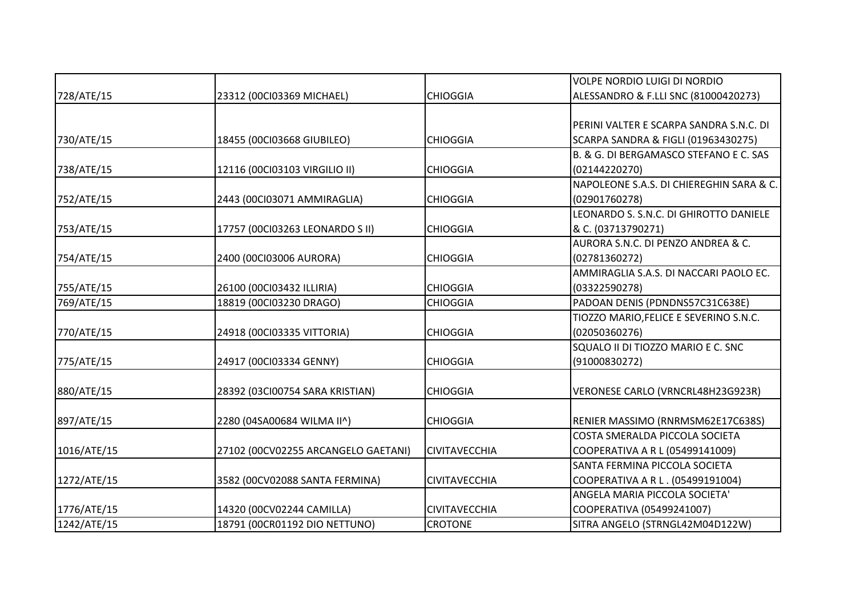|             |                                     |                      | <b>VOLPE NORDIO LUIGI DI NORDIO</b>      |
|-------------|-------------------------------------|----------------------|------------------------------------------|
| 728/ATE/15  | 23312 (00Cl03369 MICHAEL)           | <b>CHIOGGIA</b>      | ALESSANDRO & F.LLI SNC (81000420273)     |
|             |                                     |                      |                                          |
|             |                                     |                      | IPERINI VALTER E SCARPA SANDRA S.N.C. DI |
| 730/ATE/15  | 18455 (00CI03668 GIUBILEO)          | <b>CHIOGGIA</b>      | SCARPA SANDRA & FIGLI (01963430275)      |
|             |                                     |                      | B. & G. DI BERGAMASCO STEFANO E C. SAS   |
| 738/ATE/15  | 12116 (00Cl03103 VIRGILIO II)       | <b>CHIOGGIA</b>      | (02144220270)                            |
|             |                                     |                      | NAPOLEONE S.A.S. DI CHIEREGHIN SARA & C. |
| 752/ATE/15  | 2443 (00Cl03071 AMMIRAGLIA)         | <b>CHIOGGIA</b>      | (02901760278)                            |
|             |                                     |                      | LEONARDO S. S.N.C. DI GHIROTTO DANIELE   |
| 753/ATE/15  | 17757 (00Cl03263 LEONARDO S II)     | <b>CHIOGGIA</b>      | & C. (03713790271)                       |
|             |                                     |                      | AURORA S.N.C. DI PENZO ANDREA & C.       |
| 754/ATE/15  | 2400 (00Cl03006 AURORA)             | <b>CHIOGGIA</b>      | (02781360272)                            |
|             |                                     |                      | AMMIRAGLIA S.A.S. DI NACCARI PAOLO EC.   |
| 755/ATE/15  | 26100 (00Cl03432 ILLIRIA)           | <b>CHIOGGIA</b>      | (03322590278)                            |
| 769/ATE/15  | 18819 (00Cl03230 DRAGO)             | <b>CHIOGGIA</b>      | PADOAN DENIS (PDNDNS57C31C638E)          |
|             |                                     |                      | TIOZZO MARIO, FELICE E SEVERINO S.N.C.   |
| 770/ATE/15  | 24918 (00CI03335 VITTORIA)          | <b>CHIOGGIA</b>      | (02050360276)                            |
|             |                                     |                      | SQUALO II DI TIOZZO MARIO E C. SNC       |
| 775/ATE/15  | 24917 (00CI03334 GENNY)             | <b>CHIOGGIA</b>      | (91000830272)                            |
|             |                                     |                      |                                          |
| 880/ATE/15  | 28392 (03CI00754 SARA KRISTIAN)     | <b>CHIOGGIA</b>      | VERONESE CARLO (VRNCRL48H23G923R)        |
| 897/ATE/15  | 2280 (04SA00684 WILMA II^)          | <b>CHIOGGIA</b>      | RENIER MASSIMO (RNRMSM62E17C638S)        |
|             |                                     |                      | COSTA SMERALDA PICCOLA SOCIETA           |
| 1016/ATE/15 | 27102 (00CV02255 ARCANGELO GAETANI) | <b>CIVITAVECCHIA</b> | COOPERATIVA A R L (05499141009)          |
|             |                                     |                      | SANTA FERMINA PICCOLA SOCIETA            |
| 1272/ATE/15 | 3582 (00CV02088 SANTA FERMINA)      | <b>CIVITAVECCHIA</b> | COOPERATIVA A R L . (05499191004)        |
|             |                                     |                      | ANGELA MARIA PICCOLA SOCIETA'            |
| 1776/ATE/15 | 14320 (00CV02244 CAMILLA)           | <b>CIVITAVECCHIA</b> | COOPERATIVA (05499241007)                |
| 1242/ATE/15 | 18791 (00CR01192 DIO NETTUNO)       | <b>CROTONE</b>       | SITRA ANGELO (STRNGL42M04D122W)          |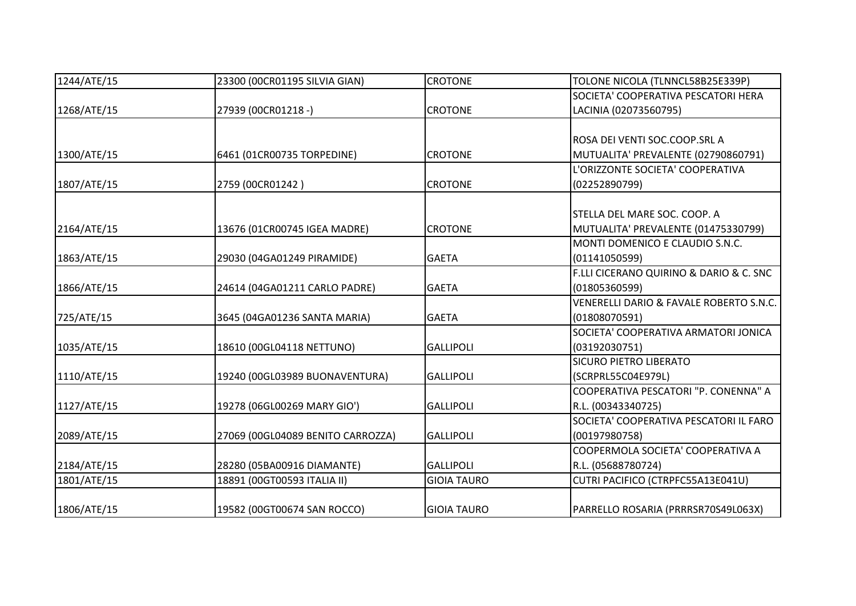| 1244/ATE/15 | 23300 (00CR01195 SILVIA GIAN)     | <b>CROTONE</b>     | TOLONE NICOLA (TLNNCL58B25E339P)        |
|-------------|-----------------------------------|--------------------|-----------------------------------------|
|             |                                   |                    | SOCIETA' COOPERATIVA PESCATORI HERA     |
| 1268/ATE/15 | 27939 (00CR01218 -)               | <b>CROTONE</b>     | LACINIA (02073560795)                   |
|             |                                   |                    | ROSA DEI VENTI SOC.COOP.SRL A           |
| 1300/ATE/15 | 6461 (01CR00735 TORPEDINE)        | <b>CROTONE</b>     | MUTUALITA' PREVALENTE (02790860791)     |
|             |                                   |                    | L'ORIZZONTE SOCIETA' COOPERATIVA        |
| 1807/ATE/15 | 2759 (00CR01242)                  | <b>CROTONE</b>     | (02252890799)                           |
|             |                                   |                    | STELLA DEL MARE SOC. COOP. A            |
| 2164/ATE/15 | 13676 (01CR00745 IGEA MADRE)      | <b>CROTONE</b>     | MUTUALITA' PREVALENTE (01475330799)     |
|             |                                   |                    | MONTI DOMENICO E CLAUDIO S.N.C.         |
| 1863/ATE/15 | 29030 (04GA01249 PIRAMIDE)        | <b>GAETA</b>       | (01141050599)                           |
|             |                                   |                    | F.LLI CICERANO QUIRINO & DARIO & C. SNC |
| 1866/ATE/15 | 24614 (04GA01211 CARLO PADRE)     | <b>GAETA</b>       | (01805360599)                           |
|             |                                   |                    | VENERELLI DARIO & FAVALE ROBERTO S.N.C. |
| 725/ATE/15  | 3645 (04GA01236 SANTA MARIA)      | <b>GAETA</b>       | (01808070591)                           |
|             |                                   |                    | SOCIETA' COOPERATIVA ARMATORI JONICA    |
| 1035/ATE/15 | 18610 (00GL04118 NETTUNO)         | <b>GALLIPOLI</b>   | (03192030751)                           |
|             |                                   |                    | <b>SICURO PIETRO LIBERATO</b>           |
| 1110/ATE/15 | 19240 (00GL03989 BUONAVENTURA)    | <b>GALLIPOLI</b>   | (SCRPRL55C04E979L)                      |
|             |                                   |                    | COOPERATIVA PESCATORI "P. CONENNA" A    |
| 1127/ATE/15 | 19278 (06GL00269 MARY GIO')       | <b>GALLIPOLI</b>   | R.L. (00343340725)                      |
|             |                                   |                    | SOCIETA' COOPERATIVA PESCATORI IL FARO  |
| 2089/ATE/15 | 27069 (00GL04089 BENITO CARROZZA) | <b>GALLIPOLI</b>   | (00197980758)                           |
|             |                                   |                    | COOPERMOLA SOCIETA' COOPERATIVA A       |
| 2184/ATE/15 | 28280 (05BA00916 DIAMANTE)        | <b>GALLIPOLI</b>   | R.L. (05688780724)                      |
| 1801/ATE/15 | 18891 (00GT00593 ITALIA II)       | <b>GIOIA TAURO</b> | CUTRI PACIFICO (CTRPFC55A13E041U)       |
| 1806/ATE/15 | 19582 (00GT00674 SAN ROCCO)       | <b>GIOIA TAURO</b> | PARRELLO ROSARIA (PRRRSR70S49L063X)     |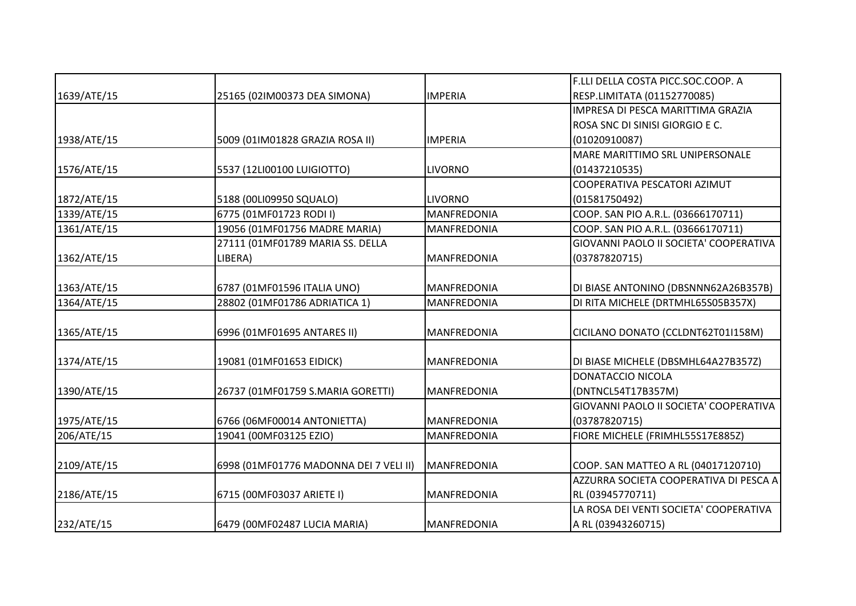|             |                                        |                    | F.LLI DELLA COSTA PICC.SOC.COOP. A     |
|-------------|----------------------------------------|--------------------|----------------------------------------|
| 1639/ATE/15 | 25165 (02IM00373 DEA SIMONA)           | <b>IMPERIA</b>     | RESP.LIMITATA (01152770085)            |
|             |                                        |                    | IMPRESA DI PESCA MARITTIMA GRAZIA      |
|             |                                        |                    | ROSA SNC DI SINISI GIORGIO E C.        |
| 1938/ATE/15 | 5009 (01IM01828 GRAZIA ROSA II)        | <b>IMPERIA</b>     | (01020910087)                          |
|             |                                        |                    | MARE MARITTIMO SRL UNIPERSONALE        |
| 1576/ATE/15 | 5537 (12LI00100 LUIGIOTTO)             | <b>LIVORNO</b>     | (01437210535)                          |
|             |                                        |                    | COOPERATIVA PESCATORI AZIMUT           |
| 1872/ATE/15 | 5188 (00LI09950 SQUALO)                | <b>LIVORNO</b>     | (01581750492)                          |
| 1339/ATE/15 | 6775 (01MF01723 RODI I)                | <b>MANFREDONIA</b> | COOP. SAN PIO A.R.L. (03666170711)     |
| 1361/ATE/15 | 19056 (01MF01756 MADRE MARIA)          | <b>MANFREDONIA</b> | COOP. SAN PIO A.R.L. (03666170711)     |
|             | 27111 (01MF01789 MARIA SS. DELLA       |                    | GIOVANNI PAOLO II SOCIETA' COOPERATIVA |
| 1362/ATE/15 | LIBERA)                                | <b>MANFREDONIA</b> | (03787820715)                          |
|             |                                        |                    |                                        |
| 1363/ATE/15 | 6787 (01MF01596 ITALIA UNO)            | <b>MANFREDONIA</b> | DI BIASE ANTONINO (DBSNNN62A26B357B)   |
| 1364/ATE/15 | 28802 (01MF01786 ADRIATICA 1)          | <b>MANFREDONIA</b> | DI RITA MICHELE (DRTMHL65S05B357X)     |
|             |                                        |                    |                                        |
| 1365/ATE/15 | 6996 (01MF01695 ANTARES II)            | <b>MANFREDONIA</b> | CICILANO DONATO (CCLDNT62T01I158M)     |
|             |                                        |                    |                                        |
| 1374/ATE/15 | 19081 (01MF01653 EIDICK)               | <b>MANFREDONIA</b> | DI BIASE MICHELE (DBSMHL64A27B357Z)    |
|             |                                        |                    | DONATACCIO NICOLA                      |
| 1390/ATE/15 | 26737 (01MF01759 S.MARIA GORETTI)      | <b>MANFREDONIA</b> | (DNTNCL54T17B357M)                     |
|             |                                        |                    | GIOVANNI PAOLO II SOCIETA' COOPERATIVA |
| 1975/ATE/15 | 6766 (06MF00014 ANTONIETTA)            | <b>MANFREDONIA</b> | (03787820715)                          |
| 206/ATE/15  | 19041 (00MF03125 EZIO)                 | <b>MANFREDONIA</b> | FIORE MICHELE (FRIMHL55S17E885Z)       |
|             |                                        |                    |                                        |
| 2109/ATE/15 | 6998 (01MF01776 MADONNA DEI 7 VELI II) | <b>MANFREDONIA</b> | COOP. SAN MATTEO A RL (04017120710)    |
|             |                                        |                    | AZZURRA SOCIETA COOPERATIVA DI PESCA A |
| 2186/ATE/15 | 6715 (00MF03037 ARIETE I)              | <b>MANFREDONIA</b> | RL (03945770711)                       |
|             |                                        |                    | LA ROSA DEI VENTI SOCIETA' COOPERATIVA |
| 232/ATE/15  | 6479 (00MF02487 LUCIA MARIA)           | MANFREDONIA        | A RL (03943260715)                     |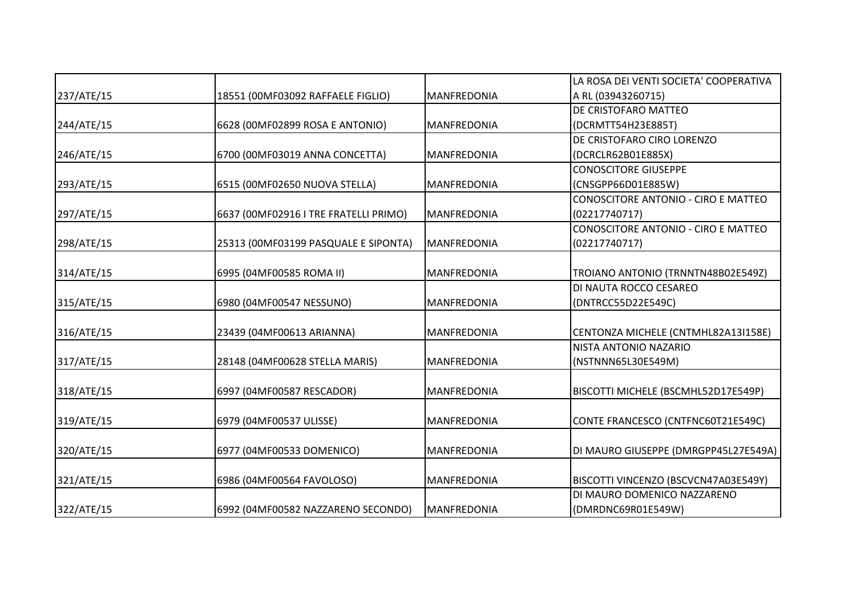|            |                                       |                    | LA ROSA DEI VENTI SOCIETA' COOPERATIVA |
|------------|---------------------------------------|--------------------|----------------------------------------|
| 237/ATE/15 | 18551 (00MF03092 RAFFAELE FIGLIO)     | <b>MANFREDONIA</b> | A RL (03943260715)                     |
|            |                                       |                    | DE CRISTOFARO MATTEO                   |
| 244/ATE/15 | 6628 (00MF02899 ROSA E ANTONIO)       | MANFREDONIA        | (DCRMTT54H23E885T)                     |
|            |                                       |                    | DE CRISTOFARO CIRO LORENZO             |
| 246/ATE/15 | 6700 (00MF03019 ANNA CONCETTA)        | <b>MANFREDONIA</b> | (DCRCLR62B01E885X)                     |
|            |                                       |                    | <b>CONOSCITORE GIUSEPPE</b>            |
| 293/ATE/15 | 6515 (00MF02650 NUOVA STELLA)         | MANFREDONIA        | (CNSGPP66D01E885W)                     |
|            |                                       |                    | CONOSCITORE ANTONIO - CIRO E MATTEO    |
| 297/ATE/15 | 6637 (00MF02916 I TRE FRATELLI PRIMO) | <b>MANFREDONIA</b> | (02217740717)                          |
|            |                                       |                    | CONOSCITORE ANTONIO - CIRO E MATTEO    |
| 298/ATE/15 | 25313 (00MF03199 PASQUALE E SIPONTA)  | <b>MANFREDONIA</b> | (02217740717)                          |
| 314/ATE/15 | 6995 (04MF00585 ROMA II)              | MANFREDONIA        | TROIANO ANTONIO (TRNNTN48B02E549Z)     |
|            |                                       |                    | DI NAUTA ROCCO CESAREO                 |
| 315/ATE/15 | 6980 (04MF00547 NESSUNO)              | MANFREDONIA        | (DNTRCC55D22E549C)                     |
| 316/ATE/15 | 23439 (04MF00613 ARIANNA)             | MANFREDONIA        | CENTONZA MICHELE (CNTMHL82A13I158E)    |
|            |                                       |                    | NISTA ANTONIO NAZARIO                  |
| 317/ATE/15 | 28148 (04MF00628 STELLA MARIS)        | MANFREDONIA        | (NSTNNN65L30E549M)                     |
| 318/ATE/15 | 6997 (04MF00587 RESCADOR)             | <b>MANFREDONIA</b> | BISCOTTI MICHELE (BSCMHL52D17E549P)    |
| 319/ATE/15 | 6979 (04MF00537 ULISSE)               | MANFREDONIA        | CONTE FRANCESCO (CNTFNC60T21E549C)     |
|            |                                       |                    |                                        |
| 320/ATE/15 | 6977 (04MF00533 DOMENICO)             | MANFREDONIA        | DI MAURO GIUSEPPE (DMRGPP45L27E549A)   |
| 321/ATE/15 | 6986 (04MF00564 FAVOLOSO)             | <b>MANFREDONIA</b> | BISCOTTI VINCENZO (BSCVCN47A03E549Y)   |
|            |                                       |                    | DI MAURO DOMENICO NAZZARENO            |
| 322/ATE/15 | 6992 (04MF00582 NAZZARENO SECONDO)    | MANFREDONIA        | (DMRDNC69R01E549W)                     |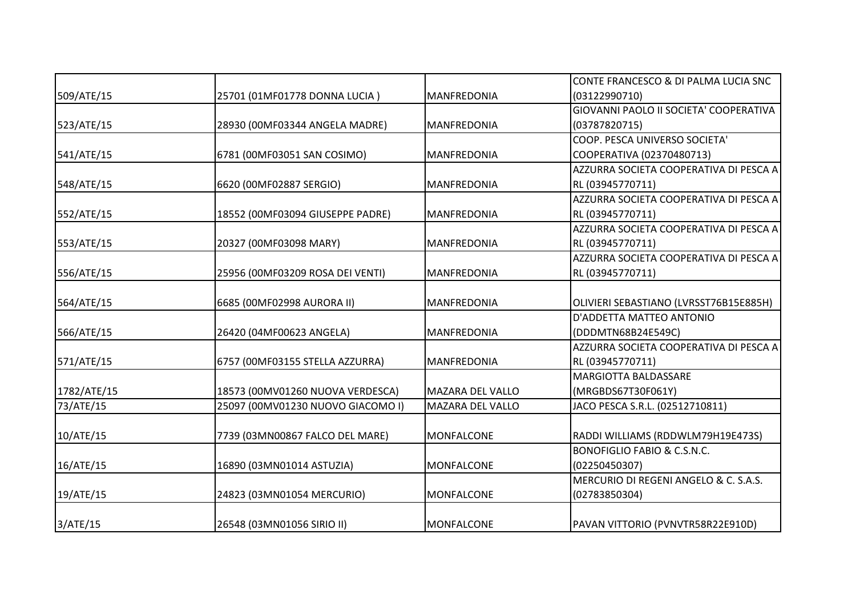|             |                                   |                         | CONTE FRANCESCO & DI PALMA LUCIA SNC   |
|-------------|-----------------------------------|-------------------------|----------------------------------------|
| 509/ATE/15  | 25701 (01MF01778 DONNA LUCIA)     | MANFREDONIA             | (03122990710)                          |
|             |                                   |                         | GIOVANNI PAOLO II SOCIETA' COOPERATIVA |
| 523/ATE/15  | 28930 (00MF03344 ANGELA MADRE)    | <b>MANFREDONIA</b>      | (03787820715)                          |
|             |                                   |                         | COOP. PESCA UNIVERSO SOCIETA'          |
| 541/ATE/15  | 6781 (00MF03051 SAN COSIMO)       | <b>MANFREDONIA</b>      | COOPERATIVA (02370480713)              |
|             |                                   |                         | AZZURRA SOCIETA COOPERATIVA DI PESCA A |
| 548/ATE/15  | 6620 (00MF02887 SERGIO)           | MANFREDONIA             | RL (03945770711)                       |
|             |                                   |                         | AZZURRA SOCIETA COOPERATIVA DI PESCA A |
| 552/ATE/15  | 18552 (00MF03094 GIUSEPPE PADRE)  | <b>MANFREDONIA</b>      | RL (03945770711)                       |
|             |                                   |                         | AZZURRA SOCIETA COOPERATIVA DI PESCA A |
| 553/ATE/15  | 20327 (00MF03098 MARY)            | MANFREDONIA             | RL (03945770711)                       |
|             |                                   |                         | AZZURRA SOCIETA COOPERATIVA DI PESCA A |
| 556/ATE/15  | 25956 (00MF03209 ROSA DEI VENTI)  | <b>MANFREDONIA</b>      | RL (03945770711)                       |
|             |                                   |                         |                                        |
| 564/ATE/15  | 6685 (00MF02998 AURORA II)        | MANFREDONIA             | OLIVIERI SEBASTIANO (LVRSST76B15E885H) |
|             |                                   |                         | D'ADDETTA MATTEO ANTONIO               |
| 566/ATE/15  | 26420 (04MF00623 ANGELA)          | <b>MANFREDONIA</b>      | (DDDMTN68B24E549C)                     |
|             |                                   |                         | AZZURRA SOCIETA COOPERATIVA DI PESCA A |
| 571/ATE/15  | 6757 (00MF03155 STELLA AZZURRA)   | MANFREDONIA             | RL (03945770711)                       |
|             |                                   |                         | MARGIOTTA BALDASSARE                   |
| 1782/ATE/15 | 18573 (00MV01260 NUOVA VERDESCA)  | <b>MAZARA DEL VALLO</b> | (MRGBDS67T30F061Y)                     |
| 73/ATE/15   | 25097 (00MV01230 NUOVO GIACOMO I) | <b>MAZARA DEL VALLO</b> | JACO PESCA S.R.L. (02512710811)        |
|             |                                   |                         |                                        |
| 10/ATE/15   | 7739 (03MN00867 FALCO DEL MARE)   | <b>MONFALCONE</b>       | RADDI WILLIAMS (RDDWLM79H19E473S)      |
|             |                                   |                         | <b>BONOFIGLIO FABIO &amp; C.S.N.C.</b> |
| 16/ATE/15   | 16890 (03MN01014 ASTUZIA)         | <b>MONFALCONE</b>       | (02250450307)                          |
|             |                                   |                         | MERCURIO DI REGENI ANGELO & C. S.A.S.  |
| 19/ATE/15   | 24823 (03MN01054 MERCURIO)        | <b>MONFALCONE</b>       | (02783850304)                          |
|             |                                   |                         |                                        |
| 3/ATE/15    | 26548 (03MN01056 SIRIO II)        | <b>MONFALCONE</b>       | PAVAN VITTORIO (PVNVTR58R22E910D)      |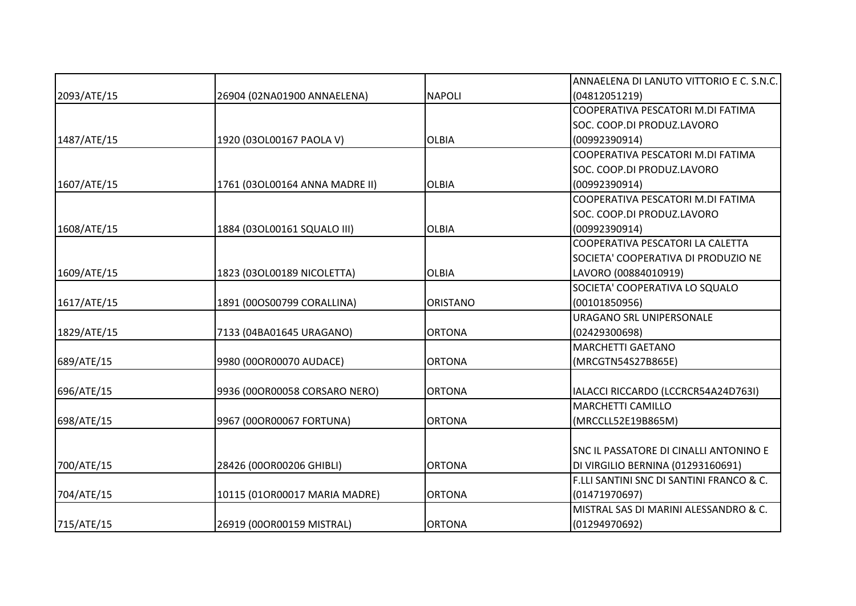|             |                                |                 | ANNAELENA DI LANUTO VITTORIO E C. S.N.C. |
|-------------|--------------------------------|-----------------|------------------------------------------|
| 2093/ATE/15 | 26904 (02NA01900 ANNAELENA)    | <b>NAPOLI</b>   | (04812051219)                            |
|             |                                |                 | COOPERATIVA PESCATORI M.DI FATIMA        |
|             |                                |                 | SOC. COOP.DI PRODUZ.LAVORO               |
| 1487/ATE/15 | 1920 (03OL00167 PAOLA V)       | <b>OLBIA</b>    | (00992390914)                            |
|             |                                |                 | COOPERATIVA PESCATORI M.DI FATIMA        |
|             |                                |                 | SOC. COOP.DI PRODUZ.LAVORO               |
| 1607/ATE/15 | 1761 (03OL00164 ANNA MADRE II) | <b>OLBIA</b>    | (00992390914)                            |
|             |                                |                 | COOPERATIVA PESCATORI M.DI FATIMA        |
|             |                                |                 | SOC. COOP.DI PRODUZ.LAVORO               |
| 1608/ATE/15 | 1884 (03OL00161 SQUALO III)    | <b>OLBIA</b>    | (00992390914)                            |
|             |                                |                 | COOPERATIVA PESCATORI LA CALETTA         |
|             |                                |                 | SOCIETA' COOPERATIVA DI PRODUZIO NE      |
| 1609/ATE/15 | 1823 (03OL00189 NICOLETTA)     | <b>OLBIA</b>    | LAVORO (00884010919)                     |
|             |                                |                 | SOCIETA' COOPERATIVA LO SQUALO           |
| 1617/ATE/15 | 1891 (00OS00799 CORALLINA)     | <b>ORISTANO</b> | (00101850956)                            |
|             |                                |                 | <b>URAGANO SRL UNIPERSONALE</b>          |
| 1829/ATE/15 | 7133 (04BA01645 URAGANO)       | <b>ORTONA</b>   | (02429300698)                            |
|             |                                |                 | <b>MARCHETTI GAETANO</b>                 |
| 689/ATE/15  | 9980 (00OR00070 AUDACE)        | <b>ORTONA</b>   | (MRCGTN54S27B865E)                       |
|             |                                |                 |                                          |
| 696/ATE/15  | 9936 (00OR00058 CORSARO NERO)  | <b>ORTONA</b>   | IALACCI RICCARDO (LCCRCR54A24D763I)      |
|             |                                |                 | <b>MARCHETTI CAMILLO</b>                 |
| 698/ATE/15  | 9967 (00OR00067 FORTUNA)       | <b>ORTONA</b>   | (MRCCLL52E19B865M)                       |
|             |                                |                 |                                          |
|             |                                |                 | SNC IL PASSATORE DI CINALLI ANTONINO E   |
| 700/ATE/15  | 28426 (00OR00206 GHIBLI)       | <b>ORTONA</b>   | DI VIRGILIO BERNINA (01293160691)        |
|             |                                |                 | F.LLI SANTINI SNC DI SANTINI FRANCO & C. |
| 704/ATE/15  | 10115 (01OR00017 MARIA MADRE)  | <b>ORTONA</b>   | (01471970697)                            |
|             |                                |                 | MISTRAL SAS DI MARINI ALESSANDRO & C.    |
| 715/ATE/15  | 26919 (00OR00159 MISTRAL)      | <b>ORTONA</b>   | (01294970692)                            |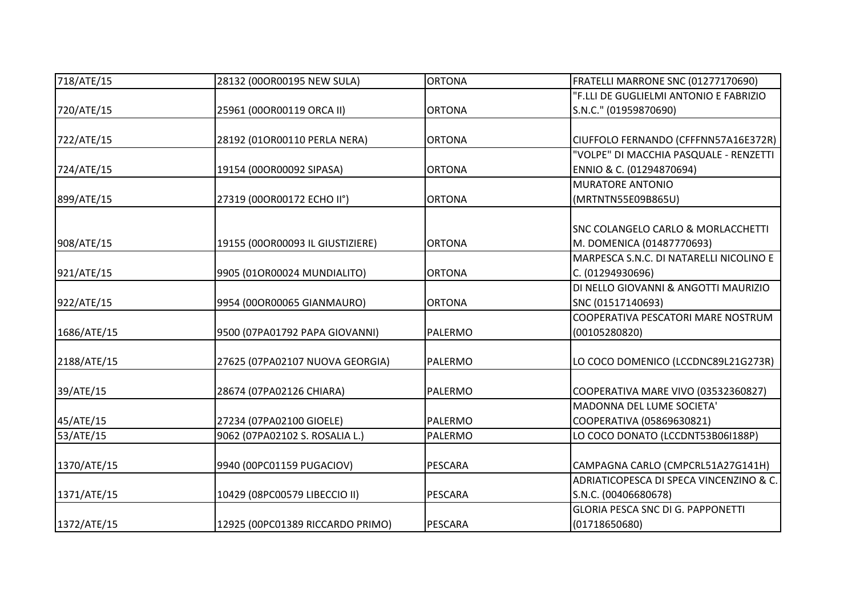| 718/ATE/15  | 28132 (00OR00195 NEW SULA)       | <b>ORTONA</b>  | FRATELLI MARRONE SNC (01277170690)            |
|-------------|----------------------------------|----------------|-----------------------------------------------|
|             |                                  |                | "F.LLI DE GUGLIELMI ANTONIO E FABRIZIO        |
| 720/ATE/15  | 25961 (00OR00119 ORCA II)        | <b>ORTONA</b>  | S.N.C." (01959870690)                         |
| 722/ATE/15  | 28192 (01OR00110 PERLA NERA)     | <b>ORTONA</b>  | CIUFFOLO FERNANDO (CFFFNN57A16E372R)          |
|             |                                  |                | "VOLPE" DI MACCHIA PASQUALE - RENZETTI        |
| 724/ATE/15  | 19154 (00OR00092 SIPASA)         | <b>ORTONA</b>  | ENNIO & C. (01294870694)                      |
|             |                                  |                | <b>MURATORE ANTONIO</b>                       |
| 899/ATE/15  | 27319 (00OR00172 ECHO II°)       | <b>ORTONA</b>  | (MRTNTN55E09B865U)                            |
|             |                                  |                | <b>SNC COLANGELO CARLO &amp; MORLACCHETTI</b> |
| 908/ATE/15  | 19155 (00OR00093 IL GIUSTIZIERE) | <b>ORTONA</b>  | M. DOMENICA (01487770693)                     |
|             |                                  |                | MARPESCA S.N.C. DI NATARELLI NICOLINO E       |
| 921/ATE/15  | 9905 (01OR00024 MUNDIALITO)      | <b>ORTONA</b>  | C. (01294930696)                              |
|             |                                  |                | DI NELLO GIOVANNI & ANGOTTI MAURIZIO          |
| 922/ATE/15  | 9954 (00OR00065 GIANMAURO)       | <b>ORTONA</b>  | SNC (01517140693)                             |
|             |                                  |                | COOPERATIVA PESCATORI MARE NOSTRUM            |
| 1686/ATE/15 | 9500 (07PA01792 PAPA GIOVANNI)   | <b>PALERMO</b> | (00105280820)                                 |
| 2188/ATE/15 | 27625 (07PA02107 NUOVA GEORGIA)  | PALERMO        | LO COCO DOMENICO (LCCDNC89L21G273R)           |
| 39/ATE/15   | 28674 (07PA02126 CHIARA)         | <b>PALERMO</b> | COOPERATIVA MARE VIVO (03532360827)           |
|             |                                  |                | MADONNA DEL LUME SOCIETA'                     |
| 45/ATE/15   | 27234 (07PA02100 GIOELE)         | <b>PALERMO</b> | COOPERATIVA (05869630821)                     |
| 53/ATE/15   | 9062 (07PA02102 S. ROSALIA L.)   | PALERMO        | LO COCO DONATO (LCCDNT53B06I188P)             |
| 1370/ATE/15 | 9940 (00PC01159 PUGACIOV)        | PESCARA        | CAMPAGNA CARLO (CMPCRL51A27G141H)             |
|             |                                  |                | ADRIATICOPESCA DI SPECA VINCENZINO & C.       |
| 1371/ATE/15 | 10429 (08PC00579 LIBECCIO II)    | <b>PESCARA</b> | S.N.C. (00406680678)                          |
|             |                                  |                | <b>GLORIA PESCA SNC DI G. PAPPONETTI</b>      |
| 1372/ATE/15 | 12925 (00PC01389 RICCARDO PRIMO) | <b>PESCARA</b> | (01718650680)                                 |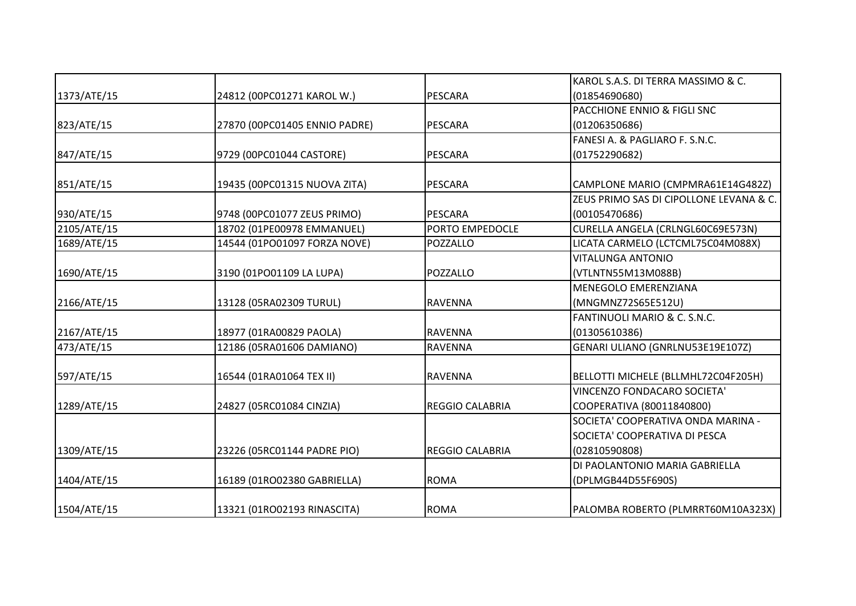|             |                               |                        | KAROL S.A.S. DI TERRA MASSIMO & C.      |
|-------------|-------------------------------|------------------------|-----------------------------------------|
| 1373/ATE/15 | 24812 (00PC01271 KAROL W.)    | <b>PESCARA</b>         | (01854690680)                           |
|             |                               |                        | PACCHIONE ENNIO & FIGLI SNC             |
| 823/ATE/15  | 27870 (00PC01405 ENNIO PADRE) | <b>PESCARA</b>         | (01206350686)                           |
|             |                               |                        | FANESI A. & PAGLIARO F. S.N.C.          |
| 847/ATE/15  | 9729 (00PC01044 CASTORE)      | <b>PESCARA</b>         | (01752290682)                           |
| 851/ATE/15  | 19435 (00PC01315 NUOVA ZITA)  | <b>PESCARA</b>         | CAMPLONE MARIO (CMPMRA61E14G482Z)       |
|             |                               |                        | ZEUS PRIMO SAS DI CIPOLLONE LEVANA & C. |
| 930/ATE/15  | 9748 (00PC01077 ZEUS PRIMO)   | <b>PESCARA</b>         | (00105470686)                           |
| 2105/ATE/15 | 18702 (01PE00978 EMMANUEL)    | PORTO EMPEDOCLE        | CURELLA ANGELA (CRLNGL60C69E573N)       |
| 1689/ATE/15 | 14544 (01PO01097 FORZA NOVE)  | POZZALLO               | LICATA CARMELO (LCTCML75C04M088X)       |
|             |                               |                        | <b>VITALUNGA ANTONIO</b>                |
| 1690/ATE/15 | 3190 (01PO01109 LA LUPA)      | POZZALLO               | (VTLNTN55M13M088B)                      |
|             |                               |                        | MENEGOLO EMERENZIANA                    |
| 2166/ATE/15 | 13128 (05RA02309 TURUL)       | <b>RAVENNA</b>         | (MNGMNZ72S65E512U)                      |
|             |                               |                        | FANTINUOLI MARIO & C. S.N.C.            |
| 2167/ATE/15 | 18977 (01RA00829 PAOLA)       | <b>RAVENNA</b>         | (01305610386)                           |
| 473/ATE/15  | 12186 (05RA01606 DAMIANO)     | <b>RAVENNA</b>         | GENARI ULIANO (GNRLNU53E19E107Z)        |
| 597/ATE/15  | 16544 (01RA01064 TEX II)      | <b>RAVENNA</b>         | BELLOTTI MICHELE (BLLMHL72C04F205H)     |
|             |                               |                        | VINCENZO FONDACARO SOCIETA'             |
| 1289/ATE/15 | 24827 (05RC01084 CINZIA)      | <b>REGGIO CALABRIA</b> | COOPERATIVA (80011840800)               |
|             |                               |                        | SOCIETA' COOPERATIVA ONDA MARINA -      |
|             |                               |                        | SOCIETA' COOPERATIVA DI PESCA           |
| 1309/ATE/15 | 23226 (05RC01144 PADRE PIO)   | REGGIO CALABRIA        | (02810590808)                           |
|             |                               |                        | DI PAOLANTONIO MARIA GABRIELLA          |
| 1404/ATE/15 | 16189 (01RO02380 GABRIELLA)   | <b>ROMA</b>            | (DPLMGB44D55F690S)                      |
| 1504/ATE/15 | 13321 (01RO02193 RINASCITA)   | <b>ROMA</b>            | PALOMBA ROBERTO (PLMRRT60M10A323X)      |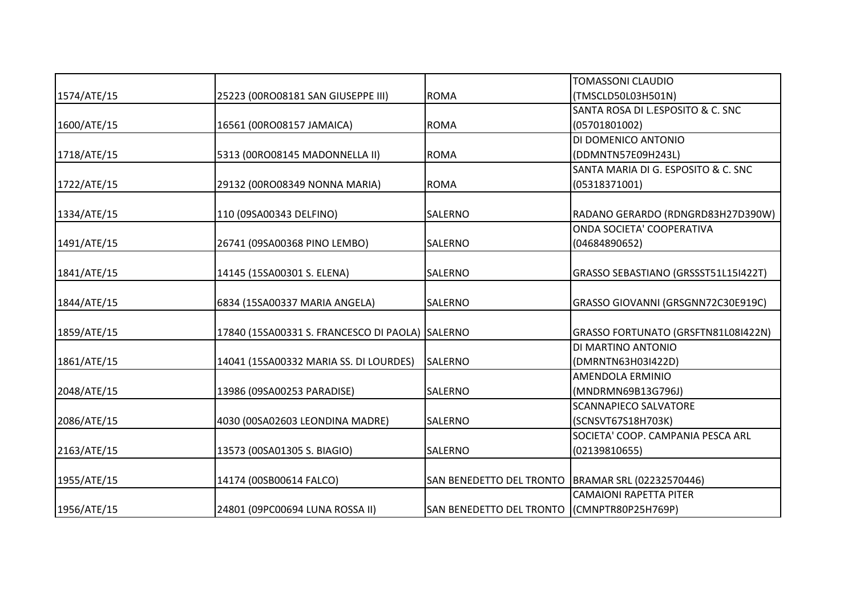|             |                                                 |                                                     | <b>TOMASSONI CLAUDIO</b>               |
|-------------|-------------------------------------------------|-----------------------------------------------------|----------------------------------------|
| 1574/ATE/15 | 25223 (00RO08181 SAN GIUSEPPE III)              | <b>ROMA</b>                                         | (TMSCLD50L03H501N)                     |
|             |                                                 |                                                     | SANTA ROSA DI L.ESPOSITO & C. SNC      |
| 1600/ATE/15 | 16561 (00RO08157 JAMAICA)                       | <b>ROMA</b>                                         | (05701801002)                          |
|             |                                                 |                                                     | DI DOMENICO ANTONIO                    |
| 1718/ATE/15 | 5313 (00RO08145 MADONNELLA II)                  | <b>ROMA</b>                                         | (DDMNTN57E09H243L)                     |
|             |                                                 |                                                     | SANTA MARIA DI G. ESPOSITO & C. SNC    |
| 1722/ATE/15 | 29132 (00RO08349 NONNA MARIA)                   | <b>ROMA</b>                                         | (05318371001)                          |
| 1334/ATE/15 | 110 (09SA00343 DELFINO)                         | SALERNO                                             | RADANO GERARDO (RDNGRD83H27D390W)      |
|             |                                                 |                                                     | ONDA SOCIETA' COOPERATIVA              |
| 1491/ATE/15 | 26741 (09SA00368 PINO LEMBO)                    | SALERNO                                             | (04684890652)                          |
| 1841/ATE/15 | 14145 (15SA00301 S. ELENA)                      | SALERNO                                             | GRASSO SEBASTIANO (GRSSST51L15I422T)   |
| 1844/ATE/15 | 6834 (15SA00337 MARIA ANGELA)                   | SALERNO                                             | GRASSO GIOVANNI (GRSGNN72C30E919C)     |
| 1859/ATE/15 | 17840 (15SA00331 S. FRANCESCO DI PAOLA) SALERNO |                                                     | GRASSO FORTUNATO (GRSFTN81L08I422N)    |
|             |                                                 | <b>SALERNO</b>                                      | DI MARTINO ANTONIO                     |
| 1861/ATE/15 | 14041 (15SA00332 MARIA SS. DI LOURDES)          |                                                     | (DMRNTN63H03I422D)                     |
| 2048/ATE/15 | 13986 (09SA00253 PARADISE)                      | SALERNO                                             | AMENDOLA ERMINIO<br>(MNDRMN69B13G796J) |
|             |                                                 |                                                     | <b>SCANNAPIECO SALVATORE</b>           |
| 2086/ATE/15 | 4030 (00SA02603 LEONDINA MADRE)                 | SALERNO                                             | (SCNSVT67S18H703K)                     |
|             |                                                 |                                                     | SOCIETA' COOP. CAMPANIA PESCA ARL      |
| 2163/ATE/15 | 13573 (00SA01305 S. BIAGIO)                     | SALERNO                                             | (02139810655)                          |
| 1955/ATE/15 | 14174 (00SB00614 FALCO)                         | SAN BENEDETTO DEL TRONTO   BRAMAR SRL (02232570446) |                                        |
|             |                                                 |                                                     | <b>CAMAIONI RAPETTA PITER</b>          |
| 1956/ATE/15 | 24801 (09PC00694 LUNA ROSSA II)                 | SAN BENEDETTO DEL TRONTO                            | (CMNPTR80P25H769P)                     |